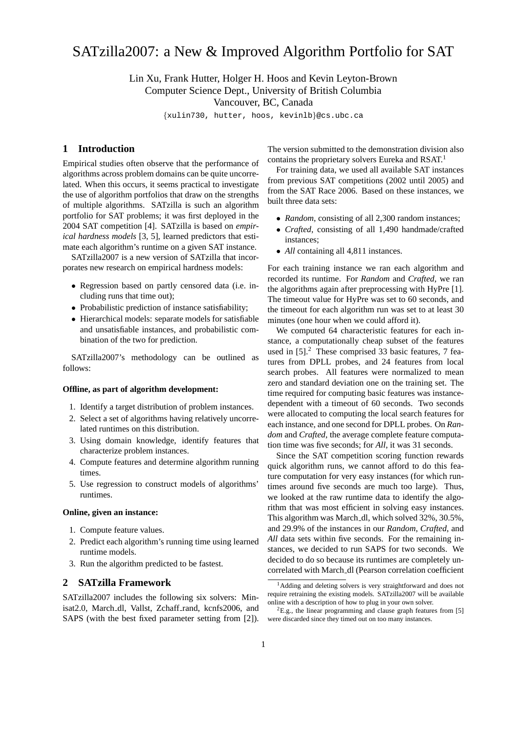# SATzilla2007: a New & Improved Algorithm Portfolio for SAT

Lin Xu, Frank Hutter, Holger H. Hoos and Kevin Leyton-Brown Computer Science Dept., University of British Columbia

Vancouver, BC, Canada

{xulin730, hutter, hoos, kevinlb}@cs.ubc.ca

# **1 Introduction**

Empirical studies often observe that the performance of algorithms across problem domains can be quite uncorrelated. When this occurs, it seems practical to investigate the use of algorithm portfolios that draw on the strengths of multiple algorithms. SATzilla is such an algorithm portfolio for SAT problems; it was first deployed in the 2004 SAT competition [4]. SATzilla is based on *empirical hardness models* [3, 5], learned predictors that estimate each algorithm's runtime on a given SAT instance.

SATzilla2007 is a new version of SATzilla that incorporates new research on empirical hardness models:

- Regression based on partly censored data (i.e. including runs that time out);
- Probabilistic prediction of instance satisfiability;
- Hierarchical models: separate models for satisfiable and unsatisfiable instances, and probabilistic combination of the two for prediction.

SATzilla2007's methodology can be outlined as follows:

#### **Offline, as part of algorithm development:**

- 1. Identify a target distribution of problem instances.
- 2. Select a set of algorithms having relatively uncorrelated runtimes on this distribution.
- 3. Using domain knowledge, identify features that characterize problem instances.
- 4. Compute features and determine algorithm running times.
- 5. Use regression to construct models of algorithms' runtimes.

#### **Online, given an instance:**

- 1. Compute feature values.
- 2. Predict each algorithm's running time using learned runtime models.
- 3. Run the algorithm predicted to be fastest.

### **2 SATzilla Framework**

SATzilla2007 includes the following six solvers: Minisat2.0, March\_dl, Vallst, Zchaff\_rand, kcnfs2006, and SAPS (with the best fixed parameter setting from [2]).

The version submitted to the demonstration division also contains the proprietary solvers Eureka and RSAT.<sup>1</sup>

For training data, we used all available SAT instances from previous SAT competitions (2002 until 2005) and from the SAT Race 2006. Based on these instances, we built three data sets:

- *Random*, consisting of all 2,300 random instances;
- *Crafted*, consisting of all 1,490 handmade/crafted instances;
- *All* containing all 4,811 instances.

For each training instance we ran each algorithm and recorded its runtime. For *Random* and *Crafted*, we ran the algorithms again after preprocessing with HyPre [1]. The timeout value for HyPre was set to 60 seconds, and the timeout for each algorithm run was set to at least 30 minutes (one hour when we could afford it).

We computed 64 characteristic features for each instance, a computationally cheap subset of the features used in  $[5]^2$ . These comprised 33 basic features, 7 features from DPLL probes, and 24 features from local search probes. All features were normalized to mean zero and standard deviation one on the training set. The time required for computing basic features was instancedependent with a timeout of 60 seconds. Two seconds were allocated to computing the local search features for each instance, and one second for DPLL probes. On *Random* and *Crafted*, the average complete feature computation time was five seconds; for *All*, it was 31 seconds.

Since the SAT competition scoring function rewards quick algorithm runs, we cannot afford to do this feature computation for very easy instances (for which runtimes around five seconds are much too large). Thus, we looked at the raw runtime data to identify the algorithm that was most efficient in solving easy instances. This algorithm was March\_dl, which solved 32%, 30.5%, and 29.9% of the instances in our *Random*, *Crafted*, and *All* data sets within five seconds. For the remaining instances, we decided to run SAPS for two seconds. We decided to do so because its runtimes are completely uncorrelated with March dl (Pearson correlation coefficient

<sup>&</sup>lt;sup>1</sup>Adding and deleting solvers is very straightforward and does not require retraining the existing models. SATzilla2007 will be available online with a description of how to plug in your own solver.

 ${}^{2}E.g.,$  the linear programming and clause graph features from [5] were discarded since they timed out on too many instances.